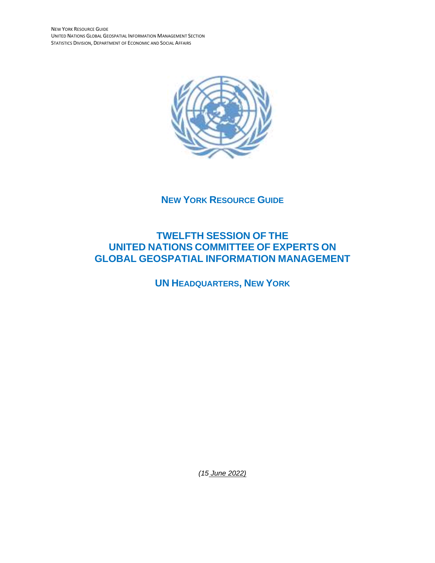NEW YORK RESOURCE GUIDE UNITED NATIONS GLOBAL GEOSPATIAL INFORMATION MANAGEMENT SECTION STATISTICS DIVISION, DEPARTMENT OF ECONOMIC AND SOCIAL AFFAIRS



**NEW YORK RESOURCE GUIDE** 

# **TWELFTH SESSION OF THE UNITED NATIONS COMMITTEE OF EXPERTS ON GLOBAL GEOSPATIAL INFORMATION MANAGEMENT**

**UN HEADQUARTERS, NEW YORK**

*(15 June 2022)*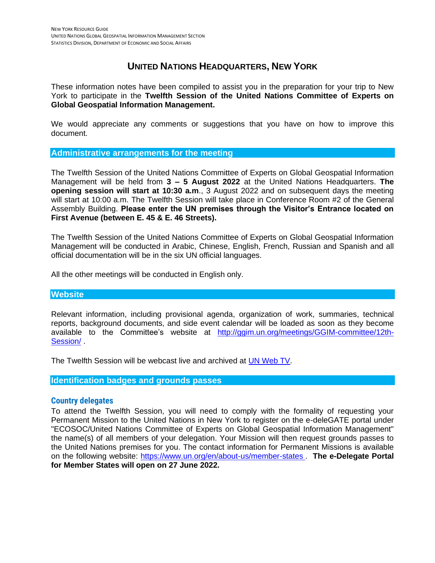# **UNITED NATIONS HEADQUARTERS, NEW YORK**

These information notes have been compiled to assist you in the preparation for your trip to New York to participate in the **Twelfth Session of the United Nations Committee of Experts on Global Geospatial Information Management.** 

We would appreciate any comments or suggestions that you have on how to improve this document.

#### **Administrative arrangements for the meeting**

The Twelfth Session of the United Nations Committee of Experts on Global Geospatial Information Management will be held from **3 – 5 August 2022** at the United Nations Headquarters. **The opening session will start at 10:30 a.m**., 3 August 2022 and on subsequent days the meeting will start at 10:00 a.m. The Twelfth Session will take place in Conference Room #2 of the General Assembly Building. **Please enter the UN premises through the Visitor's Entrance located on First Avenue (between E. 45 & E. 46 Streets).** 

The Twelfth Session of the United Nations Committee of Experts on Global Geospatial Information Management will be conducted in Arabic, Chinese, English, French, Russian and Spanish and all official documentation will be in the six UN official languages.

All the other meetings will be conducted in English only.

#### **Website**

Relevant information, including provisional agenda, organization of work, summaries, technical reports, background documents, and side event calendar will be loaded as soon as they become available to the Committee's website at [http://ggim.un.org/meetings/GGIM-committee/12th-](http://ggim.un.org/meetings/GGIM-committee/12th-Session/)[Session/](http://ggim.un.org/meetings/GGIM-committee/12th-Session/) .

The Twelfth Session will be webcast live and archived at [UN Web TV.](https://media.un.org/en/webtv/)

**Identification badges and grounds passes**

#### **Country delegates**

To attend the Twelfth Session, you will need to comply with the formality of requesting your Permanent Mission to the United Nations in New York to register on the e-deleGATE portal under "ECOSOC/United Nations Committee of Experts on Global Geospatial Information Management" the name(s) of all members of your delegation. Your Mission will then request grounds passes to the United Nations premises for you. The contact information for Permanent Missions is available on the following website: [https://www.un.org/en/about-us/member-states](https://www.un.org/en/about-us/member-states ) . **The e-Delegate Portal for Member States will open on 27 June 2022.**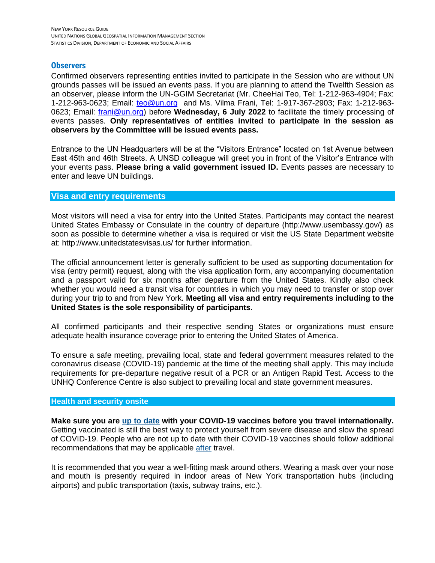### **Observers**

Confirmed observers representing entities invited to participate in the Session who are without UN grounds passes will be issued an events pass. If you are planning to attend the Twelfth Session as an observer, please inform the UN-GGIM Secretariat (Mr. CheeHai Teo, Tel: 1-212-963-4904; Fax: 1-212-963-0623; Email: [teo@un.org](mailto:teo@un.org) and Ms. Vilma Frani, Tel: 1-917-367-2903; Fax: 1-212-963- 0623; Email: [frani@un.org\)](mailto:frani@un.org) before **Wednesday, 6 July 2022** to facilitate the timely processing of events passes. **Only representatives of entities invited to participate in the session as observers by the Committee will be issued events pass.**

Entrance to the UN Headquarters will be at the "Visitors Entrance" located on 1st Avenue between East 45th and 46th Streets. A UNSD colleague will greet you in front of the Visitor's Entrance with your events pass. **Please bring a valid government issued ID.** Events passes are necessary to enter and leave UN buildings.

## **Visa and entry requirements**

Most visitors will need a visa for entry into the United States. Participants may contact the nearest United States Embassy or Consulate in the country of departure (http://www.usembassy.gov/) as soon as possible to determine whether a visa is required or visit the US State Department website at: http://www.unitedstatesvisas.us/ for further information.

The official announcement letter is generally sufficient to be used as supporting documentation for visa (entry permit) request, along with the visa application form, any accompanying documentation and a passport valid for six months after departure from the United States. Kindly also check whether you would need a transit visa for countries in which you may need to transfer or stop over during your trip to and from New York. **Meeting all visa and entry requirements including to the United States is the sole responsibility of participants**.

All confirmed participants and their respective sending States or organizations must ensure adequate health insurance coverage prior to entering the United States of America.

To ensure a safe meeting, prevailing local, state and federal government measures related to the coronavirus disease (COVID-19) pandemic at the time of the meeting shall apply. This may include requirements for pre-departure negative result of a PCR or an Antigen Rapid Test. Access to the UNHQ Conference Centre is also subject to prevailing local and state government measures.

#### **Health and security onsite**

**Make sure you are [up to date](https://www.cdc.gov/coronavirus/2019-ncov/vaccines/stay-up-to-date.html) with your COVID-19 vaccines before you travel internationally.** Getting vaccinated is still the best way to protect yourself from severe disease and slow the spread of COVID-19. People who are not up to date with their COVID-19 vaccines should follow additional recommendations that may be applicable [after](https://www.cdc.gov/coronavirus/2019-ncov/travelers/international-travel-during-covid19.html#anchor_1634925927097) travel.

It is recommended that you wear a [well-fitting mask](https://www.cdc.gov/coronavirus/2019-ncov/prevent-getting-sick/types-of-masks.html) around others. Wearing a mask over your nose and mouth is presently required in indoor areas of New York transportation hubs (including airports) and public transportation (taxis, subway trains, etc.).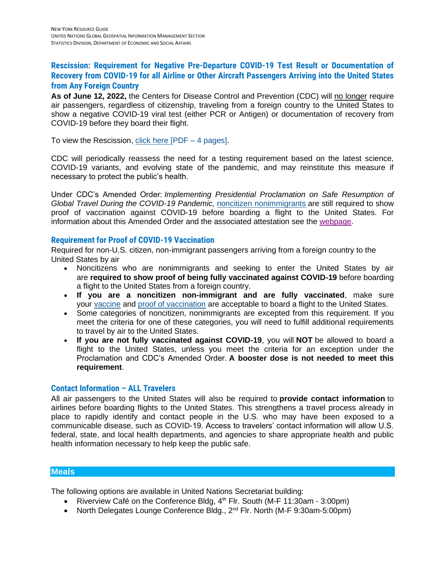# **Rescission: Requirement for Negative Pre-Departure COVID-19 Test Result or Documentation of Recovery from COVID-19 for all Airline or Other Aircraft Passengers Arriving into the United States from Any Foreign Country**

**As of June 12, 2022,** the Centers for Disease Control and Prevention (CDC) will no longer require air passengers, regardless of citizenship, traveling from a foreign country to the United States to show a negative COVID-19 viral test (either PCR or Antigen) or documentation of recovery from COVID-19 before they board their flight.

To view the Rescission,  $click$  here [PDF – 4 pages].

CDC will periodically reassess the need for a testing requirement based on the latest science, COVID-19 variants, and evolving state of the pandemic, and may reinstitute this measure if necessary to protect the public's health.

Under CDC's Amended Order: *Implementing Presidential Proclamation on Safe Resumption of Global Travel During the COVID-19 Pandemic,* [noncitizen nonimmigrants](https://www.cdc.gov/coronavirus/2019-ncov/travelers/proof-of-vaccination.html#noncitizen) are still required to show proof of vaccination against COVID-19 before boarding a flight to the United States. For information about this Amended Order and the associated attestation see the [webpage.](https://www.cdc.gov/quarantine/order-safe-travel.html)

# **Requirement for Proof of COVID-19 Vaccination**

Required for non-U.S. citizen, non-immigrant passengers arriving from a foreign country to the United States by air

- Noncitizens who are nonimmigrants and seeking to enter the United States by air are **required to show proof of being fully vaccinated against COVID-19** before boarding a flight to the United States from a foreign country.
- **If you are a noncitizen non-immigrant and are fully vaccinated**, make sure your [vaccine](https://www.cdc.gov/coronavirus/2019-ncov/travelers/proof-of-vaccination.html#covid-vaccines) and [proof of vaccination](https://www.cdc.gov/coronavirus/2019-ncov/travelers/proof-of-vaccination.html#vaccine-proof) are acceptable to board a flight to the United States.
- Some categories of noncitizen, nonimmigrants are excepted from this requirement. If you meet the criteria for one of these categories, you will need to fulfill additional requirements to travel by air to the United States.
- **If you are not fully vaccinated against COVID-19**, you will **NOT** be allowed to board a flight to the United States, unless you meet the criteria for an exception under the Proclamation and CDC's Amended Order. **A booster dose is not needed to meet this requirement**.

# **Contact Information – ALL Travelers**

All air passengers to the United States will also be required to **[provide contact information](https://www.cdc.gov/quarantine/order-collect-contact-info.html#faq-9375)** to airlines before boarding flights to the United States. This strengthens a travel process already in place to rapidly identify and contact people in the U.S. who may have been exposed to a communicable disease, such as COVID-19. Access to travelers' contact information will allow U.S. federal, state, and local health departments, and agencies to share appropriate health and public health information necessary to help keep the public safe.

# **Meals**

The following options are available in United Nations Secretariat building:

- Riverview Café on the Conference Bldg,  $4<sup>th</sup>$  Flr. South (M-F 11:30am 3:00pm)
- North Delegates Lounge Conference Bldg., 2<sup>nd</sup> Flr. North (M-F 9:30am-5:00pm)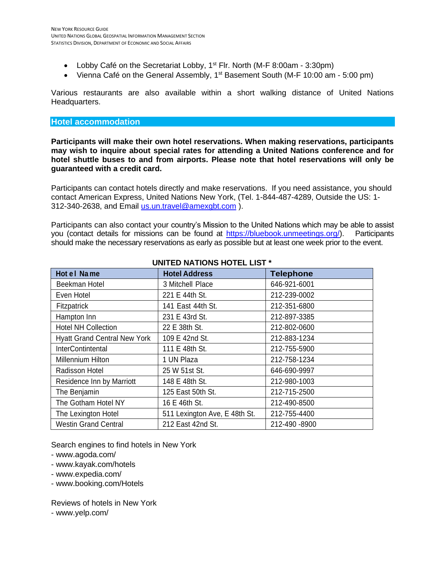- Lobby Café on the Secretariat Lobby,  $1<sup>st</sup>$  Flr. North (M-F 8:00am 3:30pm)
- Vienna Café on the General Assembly,  $1<sup>st</sup>$  Basement South (M-F 10:00 am 5:00 pm)

Various restaurants are also available within a short walking distance of United Nations Headquarters.

#### **Hotel accommodation**

**Participants will make their own hotel reservations. When making reservations, participants may wish to inquire about special rates for attending a United Nations conference and for hotel shuttle buses to and from airports. Please note that hotel reservations will only be guaranteed with a credit card.** 

Participants can contact hotels directly and make reservations. If you need assistance, you should contact American Express, United Nations New York, (Tel. 1-844-487-4289, Outside the US: 1- 312-340-2638, and Email [us.un.travel@amexgbt.com](mailto:us.un.travel@amexgbt.com) ).

Participants can also contact your country's Mission to the United Nations which may be able to assist you (contact details for missions can be found at [https://bluebook.unmeetings.org/\)](https://bluebook.unmeetings.org/). Participants should make the necessary reservations as early as possible but at least one week prior to the event.

| Hot el Name                         | <b>Hotel Address</b>          | <b>Telephone</b> |
|-------------------------------------|-------------------------------|------------------|
| Beekman Hotel                       | 3 Mitchell Place              | 646-921-6001     |
| Even Hotel                          | 221 E 44th St.                | 212-239-0002     |
| Fitzpatrick                         | 141 East 44th St.             | 212-351-6800     |
| Hampton Inn                         | 231 E 43rd St.                | 212-897-3385     |
| <b>Hotel NH Collection</b>          | 22 E 38th St.                 | 212-802-0600     |
| <b>Hyatt Grand Central New York</b> | 109 E 42nd St.                | 212-883-1234     |
| <b>InterContintental</b>            | 111 E 48th St.                | 212-755-5900     |
| <b>Millennium Hilton</b>            | 1 UN Plaza                    | 212-758-1234     |
| Radisson Hotel                      | 25 W 51st St.                 | 646-690-9997     |
| Residence Inn by Marriott           | 148 E 48th St.                | 212-980-1003     |
| The Benjamin                        | 125 East 50th St.             | 212-715-2500     |
| The Gotham Hotel NY                 | 16 E 46th St.                 | 212-490-8500     |
| The Lexington Hotel                 | 511 Lexington Ave, E 48th St. | 212-755-4400     |
| <b>Westin Grand Central</b>         | 212 East 42nd St.             | 212-490 -8900    |

# **UNITED NATIONS HOTEL LIST \***

Search engines to find hotels in New York

- www.agoda.com/
- www.kayak.com/hotels
- www.expedia.com/
- [www.booking.com/Hotels](http://www.booking.com/Hotels)

Reviews of hotels in New York

- www.yelp.com/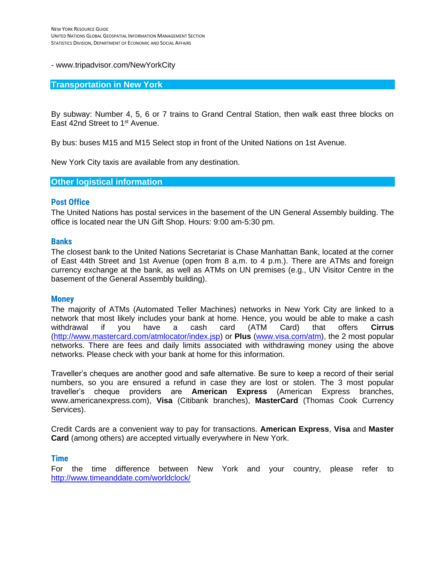#### - [www.tripadvisor.com/NewYorkCity](http://www.tripadvisor.com/NewYorkCity)

#### **Transportation in New York**

By subway: Number 4, 5, 6 or 7 trains to Grand Central Station, then walk east three blocks on East 42nd Street to 1<sup>st</sup> Avenue.

By bus: buses M15 and M15 Select stop in front of the United Nations on 1st Avenue.

New York City taxis are available from any destination.

#### **Other logistical information**

#### **Post Office**

The United Nations has postal services in the basement of the UN General Assembly building. The office is located near the UN Gift Shop. Hours: 9:00 am-5:30 pm.

#### **Banks**

The closest bank to the United Nations Secretariat is Chase Manhattan Bank, located at the corner of East 44th Street and 1st Avenue (open from 8 a.m. to 4 p.m.). There are ATMs and foreign currency exchange at the bank, as well as ATMs on UN premises (e.g., UN Visitor Centre in the basement of the General Assembly building).

#### **Money**

The majority of ATMs (Automated Teller Machines) networks in New York City are linked to a network that most likely includes your bank at home. Hence, you would be able to make a cash withdrawal if you have a cash card (ATM Card) that offers **Cirrus** [\(http://www.mastercard.com/atmlocator/index.jsp\)](http://www.mastercard.com/atmlocator/index.jsp) or **Plus** [\(www.visa.com/atm\)](http://www.visa.com/atm), the 2 most popular networks. There are fees and daily limits associated with withdrawing money using the above networks. Please check with your bank at home for this information.

Traveller's cheques are another good and safe alternative. Be sure to keep a record of their serial numbers, so you are ensured a refund in case they are lost or stolen. The 3 most popular traveller's cheque providers are **American Express** (American Express branches, [www.americanexpress.com\)](http://www.americanexpress.com/), **Visa** (Citibank branches), **MasterCard** (Thomas Cook Currency Services).

Credit Cards are a convenient way to pay for transactions. **American Express**, **Visa** and **Master Card** (among others) are accepted virtually everywhere in New York.

#### **Time**

For the time difference between New York and your country, please refer to <http://www.timeanddate.com/worldclock/>